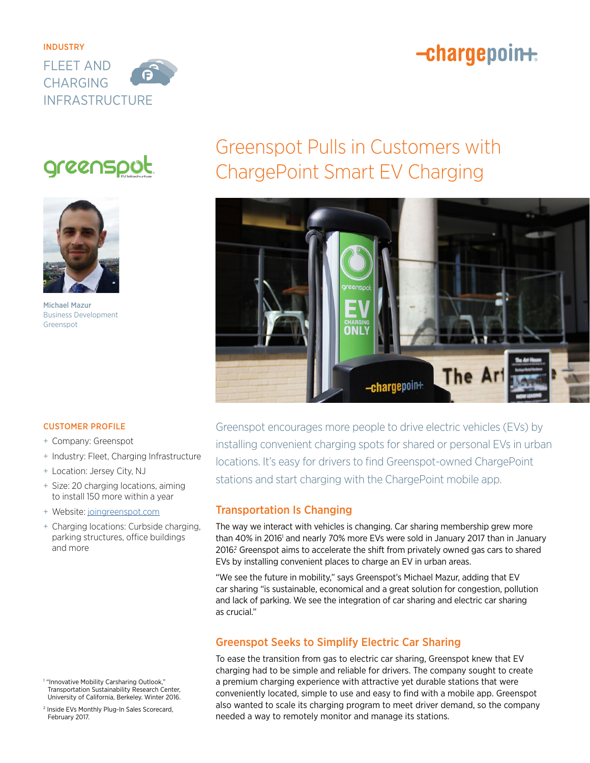# -chargepoin+



# greenspot



Michael Mazur Business Development Greenspot

# Greenspot Pulls in Customers with ChargePoint Smart EV Charging



Greenspot encourages more people to drive electric vehicles (EVs) by installing convenient charging spots for shared or personal EVs in urban locations. It's easy for drivers to find Greenspot-owned ChargePoint stations and start charging with the ChargePoint mobile app.

## Transportation Is Changing

The way we interact with vehicles is changing. Car sharing membership grew more than 40% in 2016' and nearly 70% more EVs were sold in January 2017 than in January 2016? Greenspot aims to accelerate the shift from privately owned gas cars to shared EVs by installing convenient places to charge an EV in urban areas.

"We see the future in mobility," says Greenspot's Michael Mazur, adding that EV car sharing "is sustainable, economical and a great solution for congestion, pollution and lack of parking. We see the integration of car sharing and electric car sharing as crucial."

## Greenspot Seeks to Simplify Electric Car Sharing

To ease the transition from gas to electric car sharing, Greenspot knew that EV charging had to be simple and reliable for drivers. The company sought to create a premium charging experience with attractive yet durable stations that were conveniently located, simple to use and easy to find with a mobile app. Greenspot also wanted to scale its charging program to meet driver demand, so the company needed a way to remotely monitor and manage its stations.

### CUSTOMER PROFILE

- + Company: Greenspot
- + Industry: Fleet, Charging Infrastructure
- + Location: Jersey City, NJ
- + Size: 20 charging locations, aiming to install 150 more within a year
- + Website: [joingreenspot.com](http://www.joingreenspot.com)
- + Charging locations: Curbside charging, parking structures, office buildings and more

<sup>1</sup> "Innovative Mobility Carsharing Outlook," Transportation Sustainability Research Center, University of California, Berkeley. Winter 2016.

<sup>2</sup> Inside EVs Monthly Plug-In Sales Scorecard, February 2017.